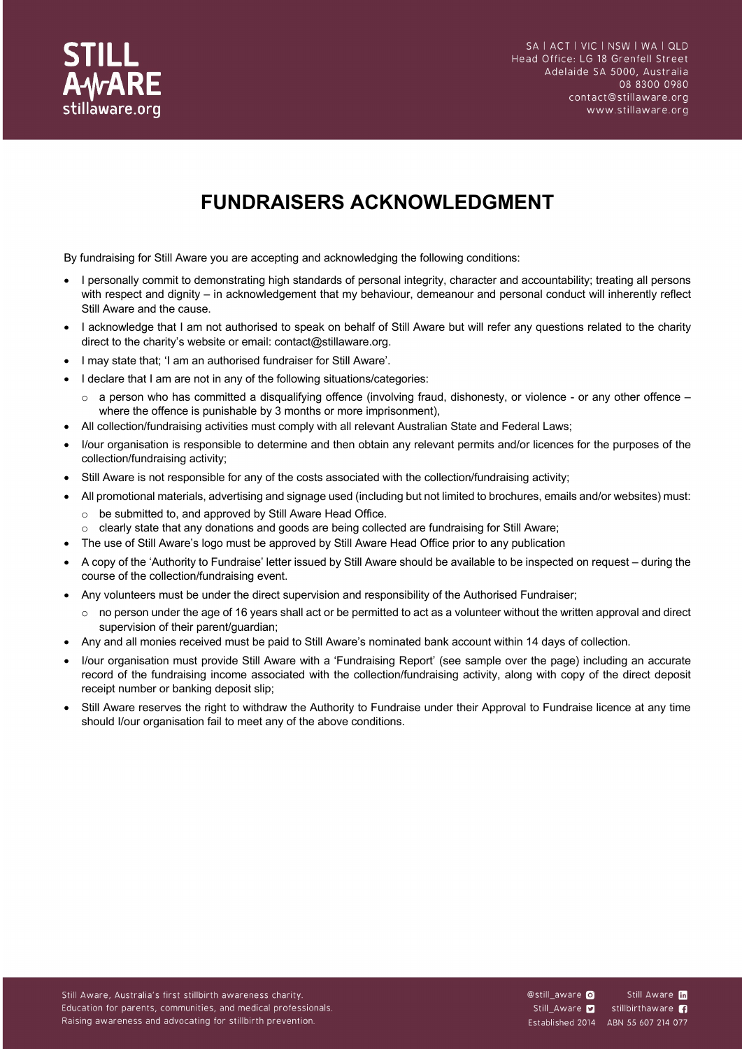

# **FUNDRAISERS ACKNOWLEDGMENT**

By fundraising for Still Aware you are accepting and acknowledging the following conditions:

- I personally commit to demonstrating high standards of personal integrity, character and accountability; treating all persons with respect and dignity – in acknowledgement that my behaviour, demeanour and personal conduct will inherently reflect Still Aware and the cause.
- I acknowledge that I am not authorised to speak on behalf of Still Aware but will refer any questions related to the charity direct to the charity's website or email: contact@stillaware.org.
- I may state that; 'I am an authorised fundraiser for Still Aware'.
- I declare that I am are not in any of the following situations/categories:
	- $\circ$  a person who has committed a disqualifying offence (involving fraud, dishonesty, or violence or any other offence where the offence is punishable by 3 months or more imprisonment),
- All collection/fundraising activities must comply with all relevant Australian State and Federal Laws;
- I/our organisation is responsible to determine and then obtain any relevant permits and/or licences for the purposes of the collection/fundraising activity;
- Still Aware is not responsible for any of the costs associated with the collection/fundraising activity;
- All promotional materials, advertising and signage used (including but not limited to brochures, emails and/or websites) must: o be submitted to, and approved by Still Aware Head Office.
- o clearly state that any donations and goods are being collected are fundraising for Still Aware;
- The use of Still Aware's logo must be approved by Still Aware Head Office prior to any publication
- A copy of the 'Authority to Fundraise' letter issued by Still Aware should be available to be inspected on request during the course of the collection/fundraising event.
- Any volunteers must be under the direct supervision and responsibility of the Authorised Fundraiser;
	- $\circ$  no person under the age of 16 years shall act or be permitted to act as a volunteer without the written approval and direct supervision of their parent/guardian;
- Any and all monies received must be paid to Still Aware's nominated bank account within 14 days of collection.
- I/our organisation must provide Still Aware with a 'Fundraising Report' (see sample over the page) including an accurate record of the fundraising income associated with the collection/fundraising activity, along with copy of the direct deposit receipt number or banking deposit slip;
- Still Aware reserves the right to withdraw the Authority to Fundraise under their Approval to Fundraise licence at any time should I/our organisation fail to meet any of the above conditions.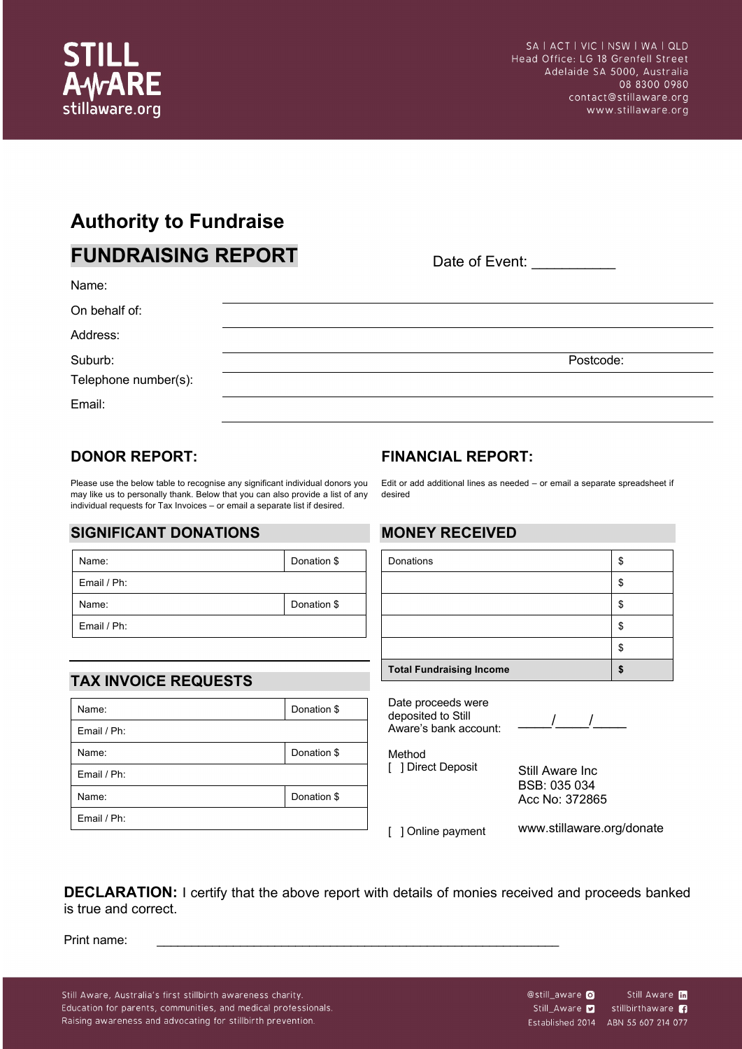

## **Authority to Fundraise**

| <b>FUNDRAISING REPORT</b>       |  | Date of Event: |           |  |
|---------------------------------|--|----------------|-----------|--|
| Name:                           |  |                |           |  |
| On behalf of:                   |  |                |           |  |
| Address:                        |  |                |           |  |
| Suburb:<br>Telephone number(s): |  |                | Postcode: |  |
| Email:                          |  |                |           |  |

### **DONOR REPORT:**

Please use the below table to recognise any significant individual donors you may like us to personally thank. Below that you can also provide a list of any individual requests for Tax Invoices – or email a separate list if desired.

#### **SIGNIFICANT DONATIONS**

| Name:       | Donation \$ |  |
|-------------|-------------|--|
| Email / Ph: |             |  |
| Name:       | Donation \$ |  |
| Email / Ph: |             |  |

## **TAX INVOICE REQUESTS**

| Name:       | Donation \$ |  |
|-------------|-------------|--|
| Email / Ph: |             |  |
| Name:       | Donation \$ |  |
| Email / Ph: |             |  |
| Name:       | Donation \$ |  |
| Email / Ph: |             |  |

## **FINANCIAL REPORT:**

Edit or add additional lines as needed – or email a separate spreadsheet if desired

#### **MONEY RECEIVED**

| Donations                       | œ<br>ה. |
|---------------------------------|---------|
|                                 |         |
|                                 |         |
|                                 |         |
|                                 |         |
| <b>Total Fundraising Income</b> |         |

Date proceeds were deposited to Still Aware's bank account: \_\_\_\_/\_\_\_\_/\_\_\_\_

Method [ ] Direct Deposit Still Aware Inc BSB: 035 034

Acc No: 372865

[ ] Online payment

www.stillaware.org/donate

**DECLARATION:** I certify that the above report with details of monies received and proceeds banked is true and correct.

Print name:

Still Aware, Australia's first stillbirth awareness charity. Education for parents, communities, and medical professionals. Raising awareness and advocating for stillbirth prevention.

Still Aware **in** @still\_aware O stillbirthaware **n** Still\_Aware Established 2014 ABN 55 607 214 077